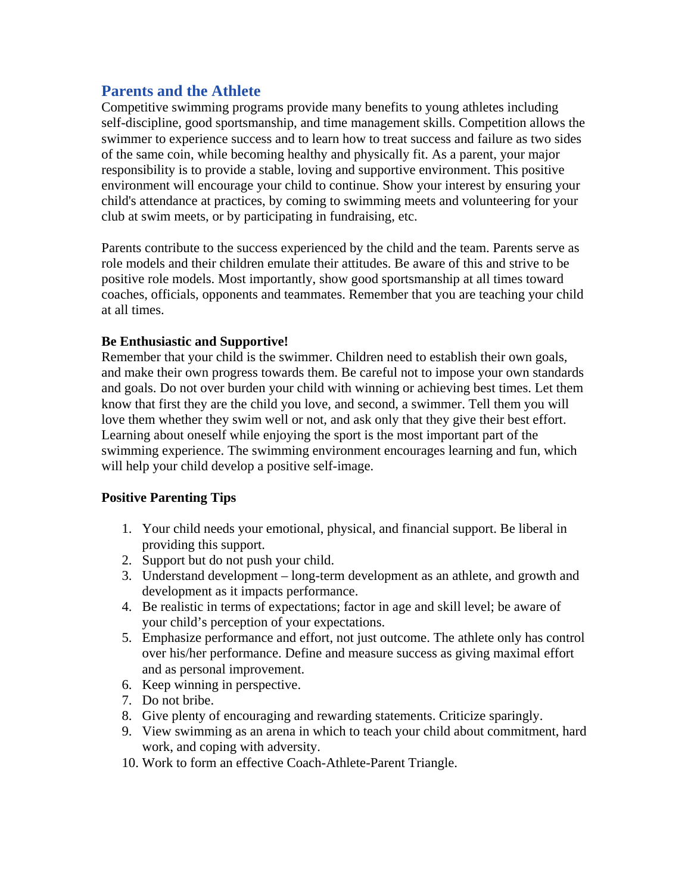## **Parents and the Athlete**

Competitive swimming programs provide many benefits to young athletes including self-discipline, good sportsmanship, and time management skills. Competition allows the swimmer to experience success and to learn how to treat success and failure as two sides of the same coin, while becoming healthy and physically fit. As a parent, your major responsibility is to provide a stable, loving and supportive environment. This positive environment will encourage your child to continue. Show your interest by ensuring your child's attendance at practices, by coming to swimming meets and volunteering for your club at swim meets, or by participating in fundraising, etc.

Parents contribute to the success experienced by the child and the team. Parents serve as role models and their children emulate their attitudes. Be aware of this and strive to be positive role models. Most importantly, show good sportsmanship at all times toward coaches, officials, opponents and teammates. Remember that you are teaching your child at all times.

## **Be Enthusiastic and Supportive!**

Remember that your child is the swimmer. Children need to establish their own goals, and make their own progress towards them. Be careful not to impose your own standards and goals. Do not over burden your child with winning or achieving best times. Let them know that first they are the child you love, and second, a swimmer. Tell them you will love them whether they swim well or not, and ask only that they give their best effort. Learning about oneself while enjoying the sport is the most important part of the swimming experience. The swimming environment encourages learning and fun, which will help your child develop a positive self-image.

## **Positive Parenting Tips**

- 1. Your child needs your emotional, physical, and financial support. Be liberal in providing this support.
- 2. Support but do not push your child.
- 3. Understand development long-term development as an athlete, and growth and development as it impacts performance.
- 4. Be realistic in terms of expectations; factor in age and skill level; be aware of your child's perception of your expectations.
- 5. Emphasize performance and effort, not just outcome. The athlete only has control over his/her performance. Define and measure success as giving maximal effort and as personal improvement.
- 6. Keep winning in perspective.
- 7. Do not bribe.
- 8. Give plenty of encouraging and rewarding statements. Criticize sparingly.
- 9. View swimming as an arena in which to teach your child about commitment, hard work, and coping with adversity.
- 10. Work to form an effective Coach-Athlete-Parent Triangle.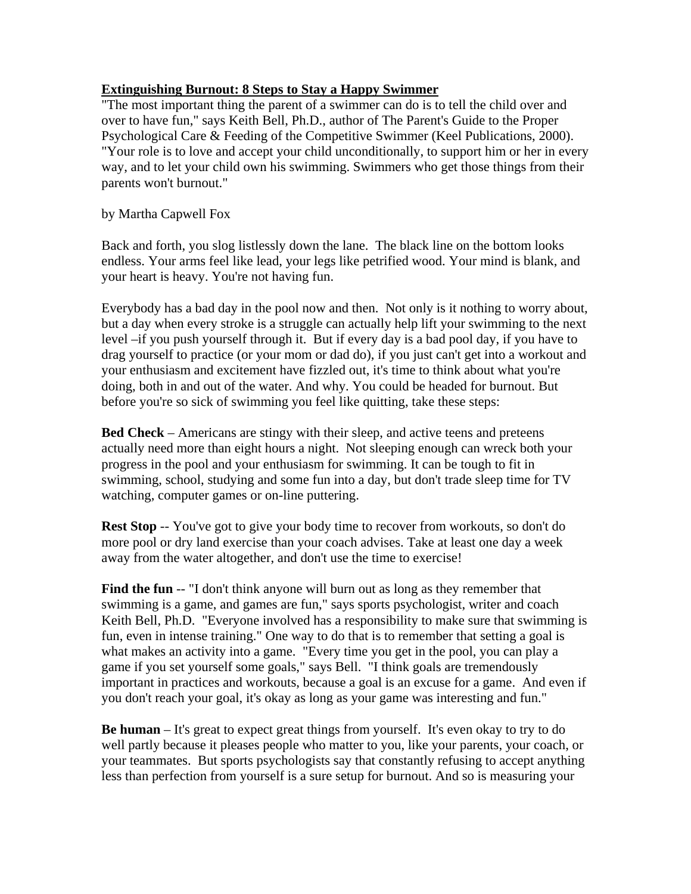## **Extinguishing Burnout: 8 Steps to Stay a Happy Swimmer**

"The most important thing the parent of a swimmer can do is to tell the child over and over to have fun," says Keith Bell, Ph.D., author of The Parent's Guide to the Proper Psychological Care & Feeding of the Competitive Swimmer (Keel Publications, 2000). "Your role is to love and accept your child unconditionally, to support him or her in every way, and to let your child own his swimming. Swimmers who get those things from their parents won't burnout."

by Martha Capwell Fox

Back and forth, you slog listlessly down the lane. The black line on the bottom looks endless. Your arms feel like lead, your legs like petrified wood. Your mind is blank, and your heart is heavy. You're not having fun.

Everybody has a bad day in the pool now and then. Not only is it nothing to worry about, but a day when every stroke is a struggle can actually help lift your swimming to the next level –if you push yourself through it. But if every day is a bad pool day, if you have to drag yourself to practice (or your mom or dad do), if you just can't get into a workout and your enthusiasm and excitement have fizzled out, it's time to think about what you're doing, both in and out of the water. And why. You could be headed for burnout. But before you're so sick of swimming you feel like quitting, take these steps:

**Bed Check** – Americans are stingy with their sleep, and active teens and preteens actually need more than eight hours a night. Not sleeping enough can wreck both your progress in the pool and your enthusiasm for swimming. It can be tough to fit in swimming, school, studying and some fun into a day, but don't trade sleep time for TV watching, computer games or on-line puttering.

**Rest Stop** -- You've got to give your body time to recover from workouts, so don't do more pool or dry land exercise than your coach advises. Take at least one day a week away from the water altogether, and don't use the time to exercise!

**Find the fun** -- "I don't think anyone will burn out as long as they remember that swimming is a game, and games are fun," says sports psychologist, writer and coach Keith Bell, Ph.D. "Everyone involved has a responsibility to make sure that swimming is fun, even in intense training." One way to do that is to remember that setting a goal is what makes an activity into a game. "Every time you get in the pool, you can play a game if you set yourself some goals," says Bell. "I think goals are tremendously important in practices and workouts, because a goal is an excuse for a game. And even if you don't reach your goal, it's okay as long as your game was interesting and fun."

**Be human** – It's great to expect great things from yourself. It's even okay to try to do well partly because it pleases people who matter to you, like your parents, your coach, or your teammates. But sports psychologists say that constantly refusing to accept anything less than perfection from yourself is a sure setup for burnout. And so is measuring your